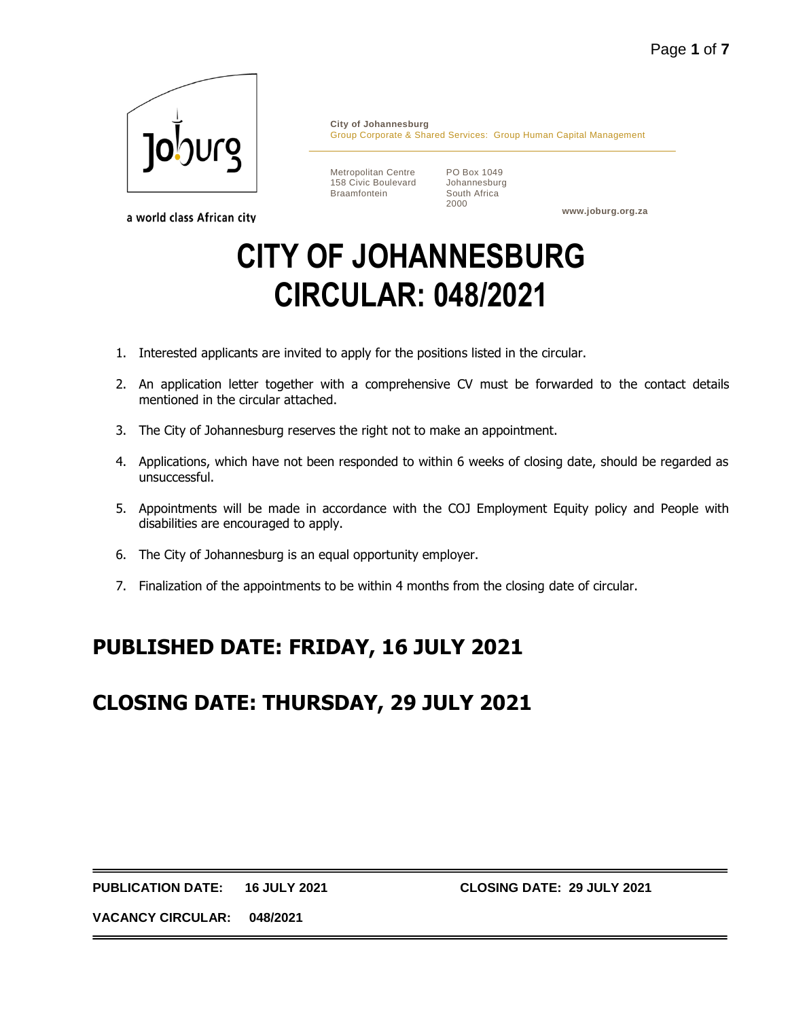

a world class African city

**City of Johannesburg** Group Corporate & Shared Services: Group Human Capital Management

Metropolitan Centre 158 Civic Boulevard Braamfontein

PO Box 1049 Johannesburg South Africa 2000

**www.joburg.org.za**

# **CITY OF JOHANNESBURG CIRCULAR: 048/2021**

- 1. Interested applicants are invited to apply for the positions listed in the circular.
- 2. An application letter together with a comprehensive CV must be forwarded to the contact details mentioned in the circular attached.
- 3. The City of Johannesburg reserves the right not to make an appointment.
- 4. Applications, which have not been responded to within 6 weeks of closing date, should be regarded as unsuccessful.
- 5. Appointments will be made in accordance with the COJ Employment Equity policy and People with disabilities are encouraged to apply.
- 6. The City of Johannesburg is an equal opportunity employer.
- 7. Finalization of the appointments to be within 4 months from the closing date of circular.

## **PUBLISHED DATE: FRIDAY, 16 JULY 2021**

## **CLOSING DATE: THURSDAY, 29 JULY 2021**

**PUBLICATION DATE: 16 JULY 2021 CLOSING DATE: 29 JULY 2021**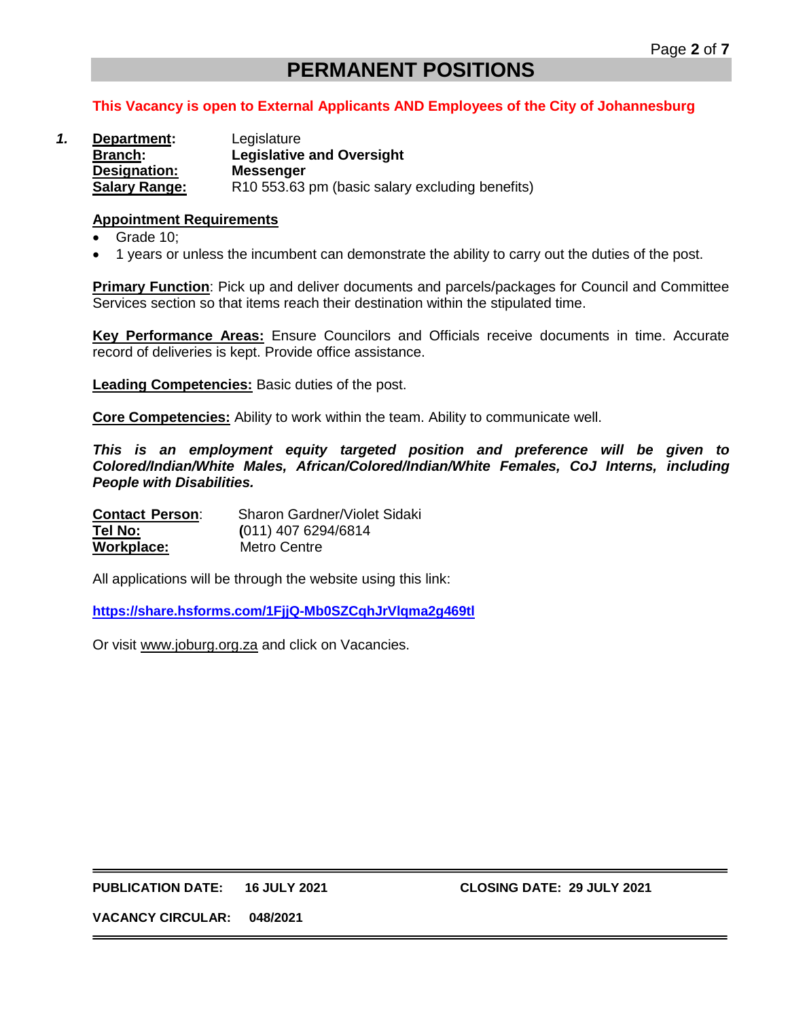### **PERMANENT POSITIONS**

#### **This Vacancy is open to External Applicants AND Employees of the City of Johannesburg**

*1.* **Department:** Legislature **Branch: Legislative and Oversight Designation: Messenger Salary Range:** R10 553.63 pm (basic salary excluding benefits)

#### **Appointment Requirements**

- Grade 10;
- 1 years or unless the incumbent can demonstrate the ability to carry out the duties of the post.

**Primary Function**: Pick up and deliver documents and parcels/packages for Council and Committee Services section so that items reach their destination within the stipulated time.

**Key Performance Areas:** Ensure Councilors and Officials receive documents in time. Accurate record of deliveries is kept. Provide office assistance.

**Leading Competencies:** Basic duties of the post.

**Core Competencies:** Ability to work within the team. Ability to communicate well.

*This is an employment equity targeted position and preference will be given to Colored/Indian/White Males, African/Colored/Indian/White Females, CoJ Interns, including People with Disabilities.*

| <b>Contact Person:</b> | Sharon Gardner/Violet Sidaki |
|------------------------|------------------------------|
| Tel No:                | $(011)$ 407 6294/6814        |
| Workplace:             | Metro Centre                 |

All applications will be through the website using this link:

**<https://share.hsforms.com/1FjjQ-Mb0SZCqhJrVlqma2g469tl>**

Or visit [www.joburg.org.za](http://www.joburg.org.za/) and click on Vacancies.

**PUBLICATION DATE: 16 JULY 2021 CLOSING DATE: 29 JULY 2021**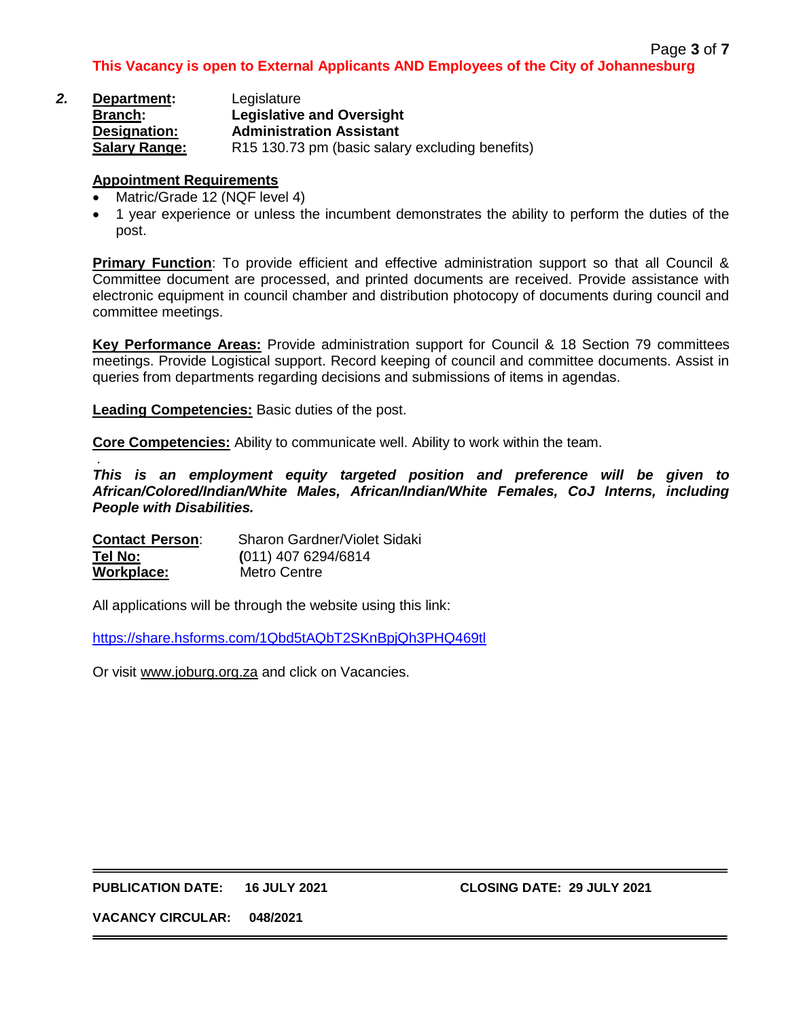| 2. | Department:          | Legislature                                                 |
|----|----------------------|-------------------------------------------------------------|
|    | <b>Branch:</b>       | <b>Legislative and Oversight</b>                            |
|    | Designation:         | <b>Administration Assistant</b>                             |
|    | <b>Salary Range:</b> | R <sub>15</sub> 130.73 pm (basic salary excluding benefits) |

- Matric/Grade 12 (NQF level 4)
- 1 year experience or unless the incumbent demonstrates the ability to perform the duties of the post.

**Primary Function**: To provide efficient and effective administration support so that all Council & Committee document are processed, and printed documents are received. Provide assistance with electronic equipment in council chamber and distribution photocopy of documents during council and committee meetings.

**Key Performance Areas:** Provide administration support for Council & 18 Section 79 committees meetings. Provide Logistical support. Record keeping of council and committee documents. Assist in queries from departments regarding decisions and submissions of items in agendas.

**Leading Competencies:** Basic duties of the post.

**Core Competencies:** Ability to communicate well. Ability to work within the team.

. *This is an employment equity targeted position and preference will be given to African/Colored/Indian/White Males, African/Indian/White Females, CoJ Interns, including People with Disabilities.*

| <b>Contact Person:</b> | Sharon Gardner/Violet Sidaki |
|------------------------|------------------------------|
| Tel No:                | $(011)$ 407 6294/6814        |
| Workplace:             | Metro Centre                 |

All applications will be through the website using this link:

<https://share.hsforms.com/1Qbd5tAQbT2SKnBpjQh3PHQ469tl>

Or visit [www.joburg.org.za](http://www.joburg.org.za/) and click on Vacancies.

**PUBLICATION DATE: 16 JULY 2021 CLOSING DATE: 29 JULY 2021**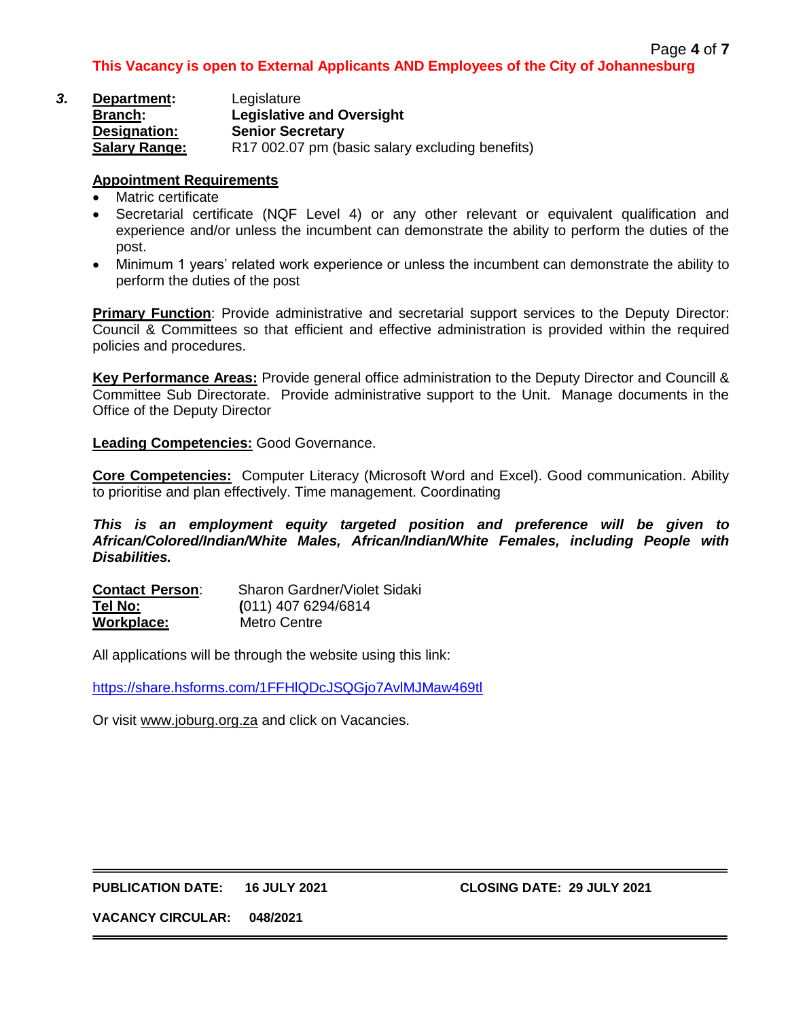| 3. | Department:          | Legislature                                     |
|----|----------------------|-------------------------------------------------|
|    | <b>Branch:</b>       | <b>Legislative and Oversight</b>                |
|    | Designation:         | <b>Senior Secretary</b>                         |
|    | <b>Salary Range:</b> | R17 002.07 pm (basic salary excluding benefits) |

- Matric certificate
- Secretarial certificate (NQF Level 4) or any other relevant or equivalent qualification and experience and/or unless the incumbent can demonstrate the ability to perform the duties of the post.
- Minimum 1 years' related work experience or unless the incumbent can demonstrate the ability to perform the duties of the post

**Primary Function**: Provide administrative and secretarial support services to the Deputy Director: Council & Committees so that efficient and effective administration is provided within the required policies and procedures.

**Key Performance Areas:** Provide general office administration to the Deputy Director and Councill & Committee Sub Directorate. Provide administrative support to the Unit. Manage documents in the Office of the Deputy Director

**Leading Competencies:** Good Governance.

**Core Competencies:** Computer Literacy (Microsoft Word and Excel). Good communication. Ability to prioritise and plan effectively. Time management. Coordinating

*This is an employment equity targeted position and preference will be given to African/Colored/Indian/White Males, African/Indian/White Females, including People with Disabilities.*

**Contact Person**: Sharon Gardner/Violet Sidaki **Tel No: (**011) 407 6294/6814 **Workplace:** Metro Centre

All applications will be through the website using this link:

<https://share.hsforms.com/1FFHlQDcJSQGjo7AvlMJMaw469tl>

Or visit [www.joburg.org.za](http://www.joburg.org.za/) and click on Vacancies.

#### **PUBLICATION DATE: 16 JULY 2021 CLOSING DATE: 29 JULY 2021**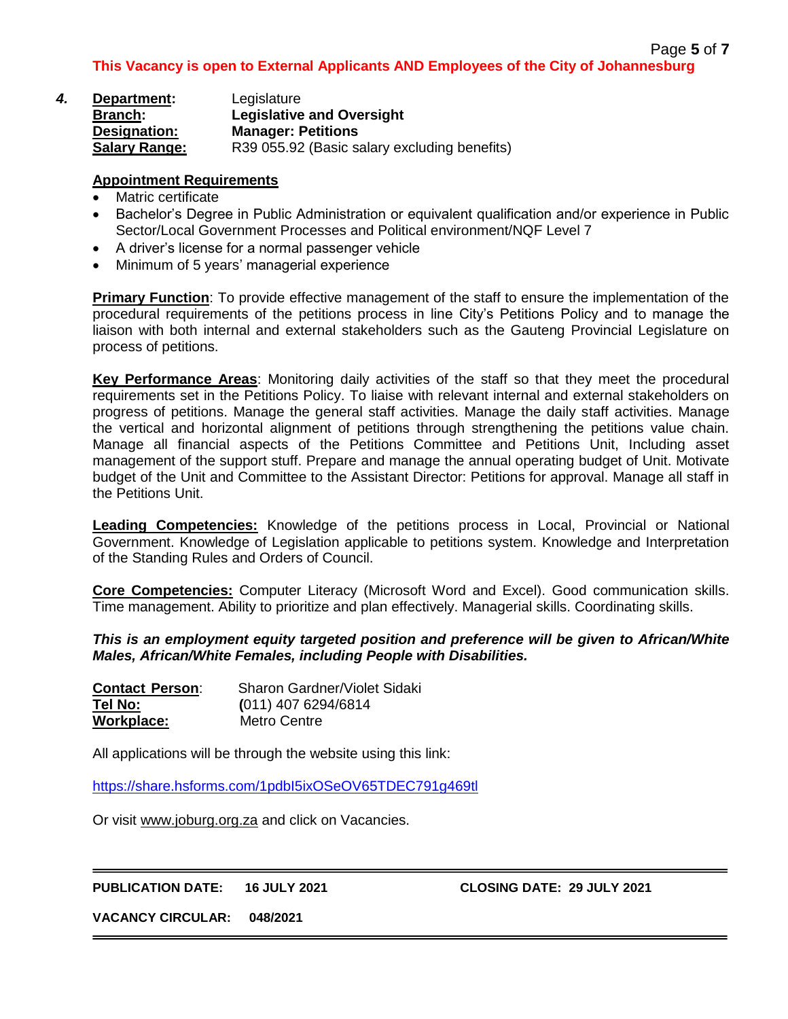| 4. | Department:          | Legislature                                  |
|----|----------------------|----------------------------------------------|
|    | <b>Branch:</b>       | <b>Legislative and Oversight</b>             |
|    | Designation:         | <b>Manager: Petitions</b>                    |
|    | <b>Salary Range:</b> | R39 055.92 (Basic salary excluding benefits) |

- Matric certificate
- Bachelor's Degree in Public Administration or equivalent qualification and/or experience in Public Sector/Local Government Processes and Political environment/NQF Level 7
- A driver's license for a normal passenger vehicle
- Minimum of 5 years' managerial experience

**Primary Function**: To provide effective management of the staff to ensure the implementation of the procedural requirements of the petitions process in line City's Petitions Policy and to manage the liaison with both internal and external stakeholders such as the Gauteng Provincial Legislature on process of petitions.

**Key Performance Areas**: Monitoring daily activities of the staff so that they meet the procedural requirements set in the Petitions Policy. To liaise with relevant internal and external stakeholders on progress of petitions. Manage the general staff activities. Manage the daily staff activities. Manage the vertical and horizontal alignment of petitions through strengthening the petitions value chain. Manage all financial aspects of the Petitions Committee and Petitions Unit, Including asset management of the support stuff. Prepare and manage the annual operating budget of Unit. Motivate budget of the Unit and Committee to the Assistant Director: Petitions for approval. Manage all staff in the Petitions Unit.

**Leading Competencies:** Knowledge of the petitions process in Local, Provincial or National Government. Knowledge of Legislation applicable to petitions system. Knowledge and Interpretation of the Standing Rules and Orders of Council.

**Core Competencies:** Computer Literacy (Microsoft Word and Excel). Good communication skills. Time management. Ability to prioritize and plan effectively. Managerial skills. Coordinating skills.

*This is an employment equity targeted position and preference will be given to African/White Males, African/White Females, including People with Disabilities.*

| <b>Contact Person:</b> | Sharon Gardner/Violet Sidaki |
|------------------------|------------------------------|
| Tel No:                | $(011)$ 407 6294/6814        |
| Workplace:             | Metro Centre                 |

All applications will be through the website using this link:

<https://share.hsforms.com/1pdbI5ixOSeOV65TDEC791g469tl>

Or visit [www.joburg.org.za](http://www.joburg.org.za/) and click on Vacancies.

**PUBLICATION DATE: 16 JULY 2021 CLOSING DATE: 29 JULY 2021**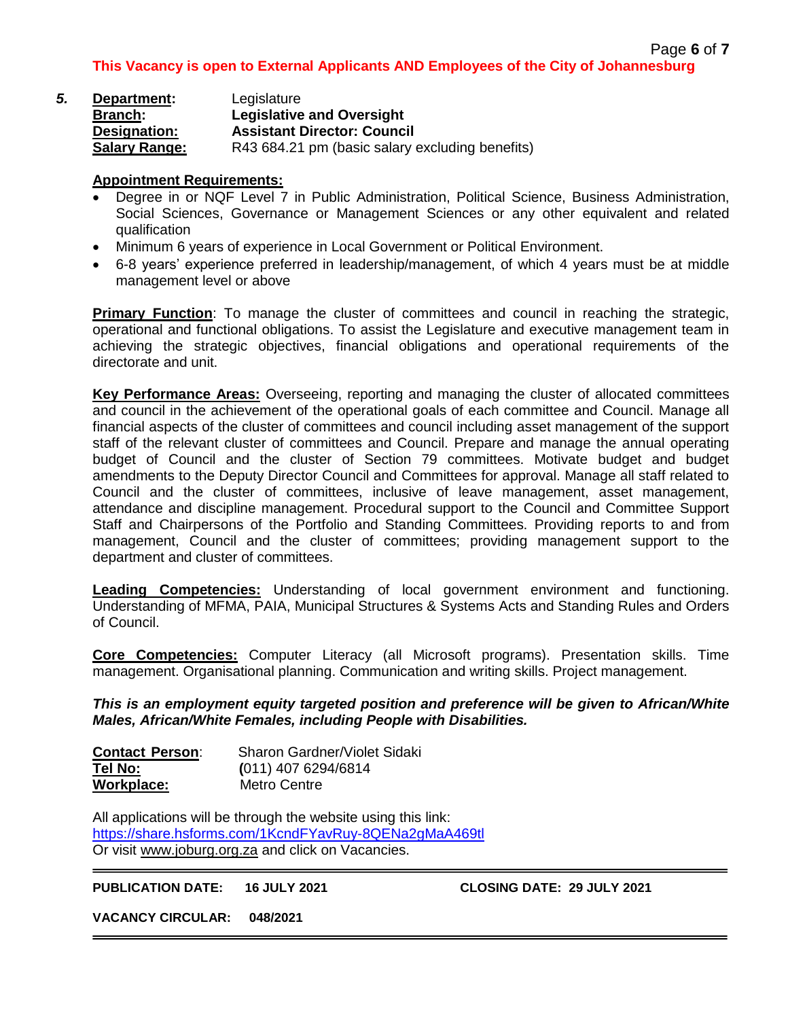| 5. | Department:          | Legislature                                     |
|----|----------------------|-------------------------------------------------|
|    | <b>Branch:</b>       | <b>Legislative and Oversight</b>                |
|    | Designation:         | <b>Assistant Director: Council</b>              |
|    | <b>Salary Range:</b> | R43 684.21 pm (basic salary excluding benefits) |

- Degree in or NQF Level 7 in Public Administration, Political Science, Business Administration, Social Sciences, Governance or Management Sciences or any other equivalent and related qualification
- Minimum 6 years of experience in Local Government or Political Environment.
- 6-8 years' experience preferred in leadership/management, of which 4 years must be at middle management level or above

**Primary Function**: To manage the cluster of committees and council in reaching the strategic, operational and functional obligations. To assist the Legislature and executive management team in achieving the strategic objectives, financial obligations and operational requirements of the directorate and unit.

**Key Performance Areas:** Overseeing, reporting and managing the cluster of allocated committees and council in the achievement of the operational goals of each committee and Council. Manage all financial aspects of the cluster of committees and council including asset management of the support staff of the relevant cluster of committees and Council. Prepare and manage the annual operating budget of Council and the cluster of Section 79 committees. Motivate budget and budget amendments to the Deputy Director Council and Committees for approval. Manage all staff related to Council and the cluster of committees, inclusive of leave management, asset management, attendance and discipline management. Procedural support to the Council and Committee Support Staff and Chairpersons of the Portfolio and Standing Committees. Providing reports to and from management, Council and the cluster of committees; providing management support to the department and cluster of committees.

**Leading Competencies:** Understanding of local government environment and functioning. Understanding of MFMA, PAIA, Municipal Structures & Systems Acts and Standing Rules and Orders of Council.

**Core Competencies:** Computer Literacy (all Microsoft programs). Presentation skills. Time management. Organisational planning. Communication and writing skills. Project management.

*This is an employment equity targeted position and preference will be given to African/White Males, African/White Females, including People with Disabilities.*

| <b>Contact Person:</b> | Sharon Gardner/Violet Sidaki |
|------------------------|------------------------------|
| Tel No:                | $(011)$ 407 6294/6814        |
| Workplace:             | Metro Centre                 |

All applications will be through the website using this link: <https://share.hsforms.com/1KcndFYavRuy-8QENa2gMaA469tl> Or visit [www.joburg.org.za](http://www.joburg.org.za/) and click on Vacancies.

**PUBLICATION DATE: 16 JULY 2021 CLOSING DATE: 29 JULY 2021**